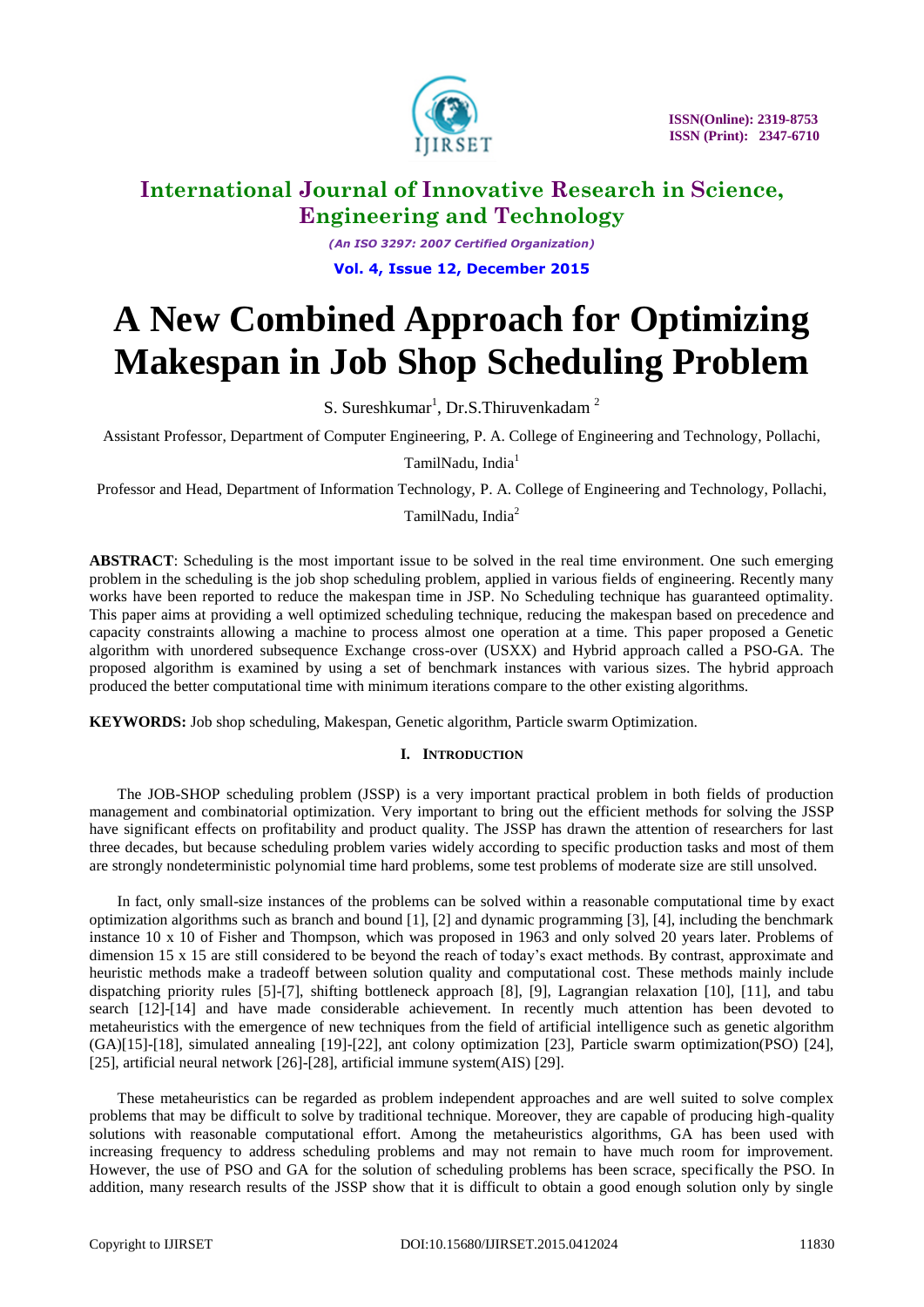

*(An ISO 3297: 2007 Certified Organization)* **Vol. 4, Issue 12, December 2015**

# **A New Combined Approach for Optimizing Makespan in Job Shop Scheduling Problem**

S. Sureshkumar<sup>1</sup>, Dr.S.Thiruvenkadam<sup>2</sup>

Assistant Professor, Department of Computer Engineering, P. A. College of Engineering and Technology, Pollachi,

TamilNadu, India<sup>1</sup>

Professor and Head, Department of Information Technology, P. A. College of Engineering and Technology, Pollachi,

TamilNadu, India<sup>2</sup>

**ABSTRACT**: Scheduling is the most important issue to be solved in the real time environment. One such emerging problem in the scheduling is the job shop scheduling problem, applied in various fields of engineering. Recently many works have been reported to reduce the makespan time in JSP. No Scheduling technique has guaranteed optimality. This paper aims at providing a well optimized scheduling technique, reducing the makespan based on precedence and capacity constraints allowing a machine to process almost one operation at a time. This paper proposed a Genetic algorithm with unordered subsequence Exchange cross-over (USXX) and Hybrid approach called a PSO-GA. The proposed algorithm is examined by using a set of benchmark instances with various sizes. The hybrid approach produced the better computational time with minimum iterations compare to the other existing algorithms.

**KEYWORDS:** Job shop scheduling, Makespan, Genetic algorithm, Particle swarm Optimization.

#### **I. INTRODUCTION**

The JOB-SHOP scheduling problem (JSSP) is a very important practical problem in both fields of production management and combinatorial optimization. Very important to bring out the efficient methods for solving the JSSP have significant effects on profitability and product quality. The JSSP has drawn the attention of researchers for last three decades, but because scheduling problem varies widely according to specific production tasks and most of them are strongly nondeterministic polynomial time hard problems, some test problems of moderate size are still unsolved.

In fact, only small-size instances of the problems can be solved within a reasonable computational time by exact optimization algorithms such as branch and bound [1], [2] and dynamic programming [3], [4], including the benchmark instance 10 x 10 of Fisher and Thompson, which was proposed in 1963 and only solved 20 years later. Problems of dimension 15 x 15 are still considered to be beyond the reach of today's exact methods. By contrast, approximate and heuristic methods make a tradeoff between solution quality and computational cost. These methods mainly include dispatching priority rules [5]-[7], shifting bottleneck approach [8], [9], Lagrangian relaxation [10], [11], and tabu search [12]-[14] and have made considerable achievement. In recently much attention has been devoted to metaheuristics with the emergence of new techniques from the field of artificial intelligence such as genetic algorithm (GA)[15]-[18], simulated annealing [19]-[22], ant colony optimization [23], Particle swarm optimization(PSO) [24], [25], artificial neural network [26]-[28], artificial immune system(AIS) [29].

These metaheuristics can be regarded as problem independent approaches and are well suited to solve complex problems that may be difficult to solve by traditional technique. Moreover, they are capable of producing high-quality solutions with reasonable computational effort. Among the metaheuristics algorithms, GA has been used with increasing frequency to address scheduling problems and may not remain to have much room for improvement. However, the use of PSO and GA for the solution of scheduling problems has been scrace, specifically the PSO. In addition, many research results of the JSSP show that it is difficult to obtain a good enough solution only by single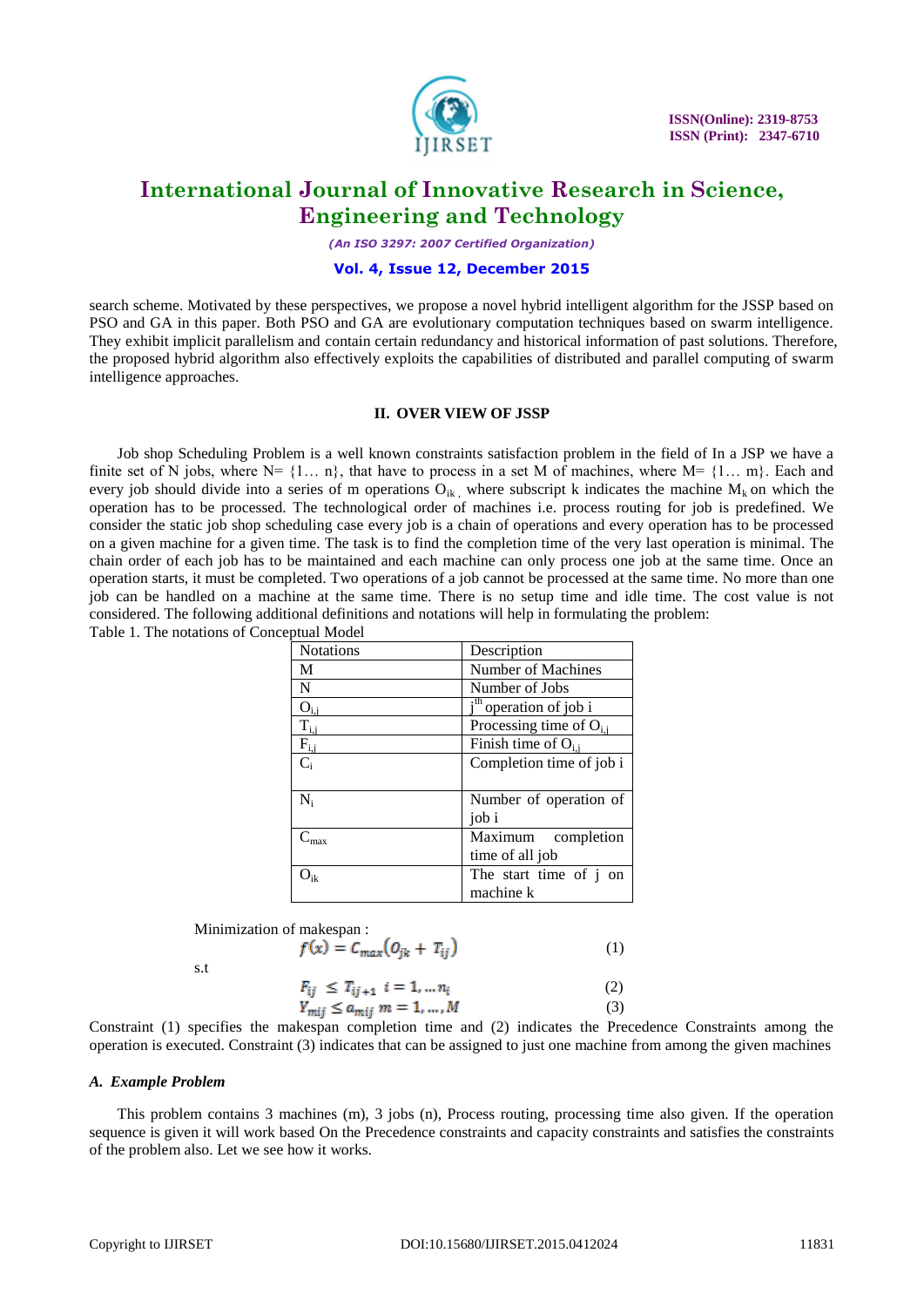

*(An ISO 3297: 2007 Certified Organization)*

#### **Vol. 4, Issue 12, December 2015**

search scheme. Motivated by these perspectives, we propose a novel hybrid intelligent algorithm for the JSSP based on PSO and GA in this paper. Both PSO and GA are evolutionary computation techniques based on swarm intelligence. They exhibit implicit parallelism and contain certain redundancy and historical information of past solutions. Therefore, the proposed hybrid algorithm also effectively exploits the capabilities of distributed and parallel computing of swarm intelligence approaches.

#### **II. OVER VIEW OF JSSP**

Job shop Scheduling Problem is a well known constraints satisfaction problem in the field of In a JSP we have a finite set of N jobs, where  $N = \{1... n\}$ , that have to process in a set M of machines, where  $M = \{1... m\}$ . Each and every job should divide into a series of m operations  $O_{ik}$ , where subscript k indicates the machine  $M_k$  on which the operation has to be processed. The technological order of machines i.e. process routing for job is predefined. We consider the static job shop scheduling case every job is a chain of operations and every operation has to be processed on a given machine for a given time. The task is to find the completion time of the very last operation is minimal. The chain order of each job has to be maintained and each machine can only process one job at the same time. Once an operation starts, it must be completed. Two operations of a job cannot be processed at the same time. No more than one job can be handled on a machine at the same time. There is no setup time and idle time. The cost value is not considered. The following additional definitions and notations will help in formulating the problem: Table 1. The notations of Conceptual Model

| <b>Notations</b>             | Description                        |
|------------------------------|------------------------------------|
| M                            | Number of Machines                 |
| $\mathbf N$                  | Number of Jobs                     |
| $O_{i,j}$                    | i <sup>th</sup> operation of job i |
| $\rm T_{\rm ii}$             | Processing time of $O_{i,j}$       |
| $\mathbf{F}_{\mathrm{ii}}$   | Finish time of $O_{i,i}$           |
| $C_i$                        | Completion time of job i           |
|                              |                                    |
| $N_i$                        | Number of operation of             |
|                              | job i                              |
| $C_{\hbox{\scriptsize max}}$ | Maximum completion                 |
|                              | time of all job                    |
| $\mathsf{J}_{\mathrm{ik}}$   | The start time of j on             |
|                              | machine k                          |

Minimization of makespan :

$$
f(x) = C_{max}(O_{jk} + T_{ij})
$$
 (1)

s.t

$$
F_{ij} \le T_{ij+1} \quad i = 1, \dots, n_i
$$
  
\n
$$
Y_{mij} \le a_{mij} \quad m = 1, \dots, M
$$
 (2)

Constraint (1) specifies the makespan completion time and (2) indicates the Precedence Constraints among the operation is executed. Constraint (3) indicates that can be assigned to just one machine from among the given machines

#### *A. Example Problem*

This problem contains 3 machines (m), 3 jobs (n), Process routing, processing time also given. If the operation sequence is given it will work based On the Precedence constraints and capacity constraints and satisfies the constraints of the problem also. Let we see how it works.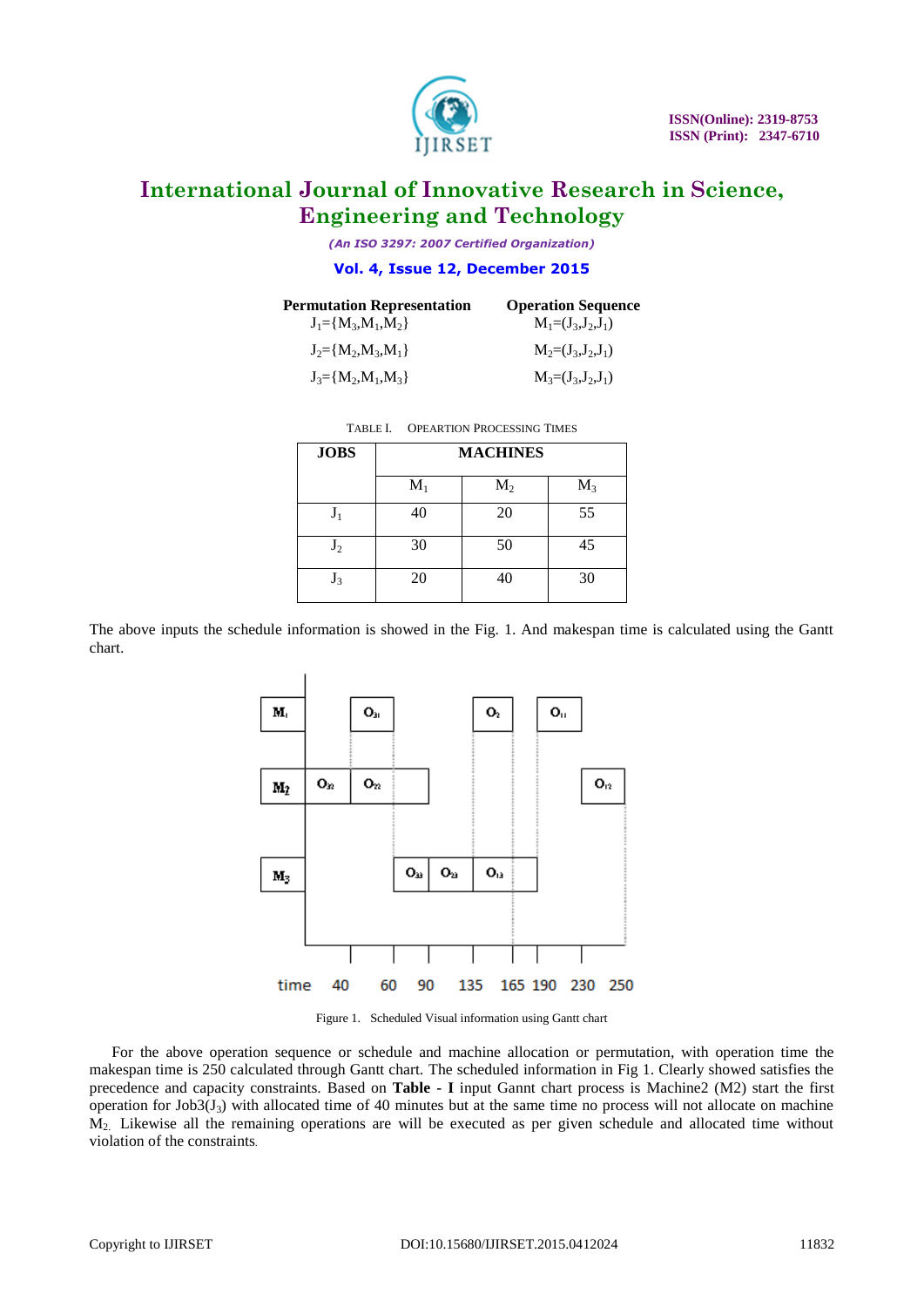

*(An ISO 3297: 2007 Certified Organization)*

#### **Vol. 4, Issue 12, December 2015**

| <b>Permutation Representation</b><br>$J_1 = {M_3, M_1, M_2}$ | <b>Operation Sequence</b><br>$M_1=(J_3,J_2,J_1)$ |
|--------------------------------------------------------------|--------------------------------------------------|
| $J_2 = {M_2, M_3, M_1}$                                      | $M_2=(J_3,J_2,J_1)$                              |
| $J_3 = {M_2, M_1, M_2}$                                      | $M_3=(J_3,J_2,J_1)$                              |

| <b>JOBS</b>    | <b>MACHINES</b> |       |       |  |  |
|----------------|-----------------|-------|-------|--|--|
|                | $M_1$           | $M_2$ | $M_3$ |  |  |
| $\mathrm{J}_1$ | 40              | 20    | 55    |  |  |
| $J_2$          | 30              | 50    | 45    |  |  |
| Ją             | 20              | 40    | 30    |  |  |

The above inputs the schedule information is showed in the Fig. 1. And makespan time is calculated using the Gantt chart.



Figure 1. Scheduled Visual information using Gantt chart

For the above operation sequence or schedule and machine allocation or permutation, with operation time the makespan time is 250 calculated through Gantt chart. The scheduled information in Fig 1. Clearly showed satisfies the precedence and capacity constraints. Based on **Table - I** input Gannt chart process is Machine2 (M2) start the first operation for Job $3(J_3)$  with allocated time of 40 minutes but at the same time no process will not allocate on machine M2. Likewise all the remaining operations are will be executed as per given schedule and allocated time without violation of the constraints.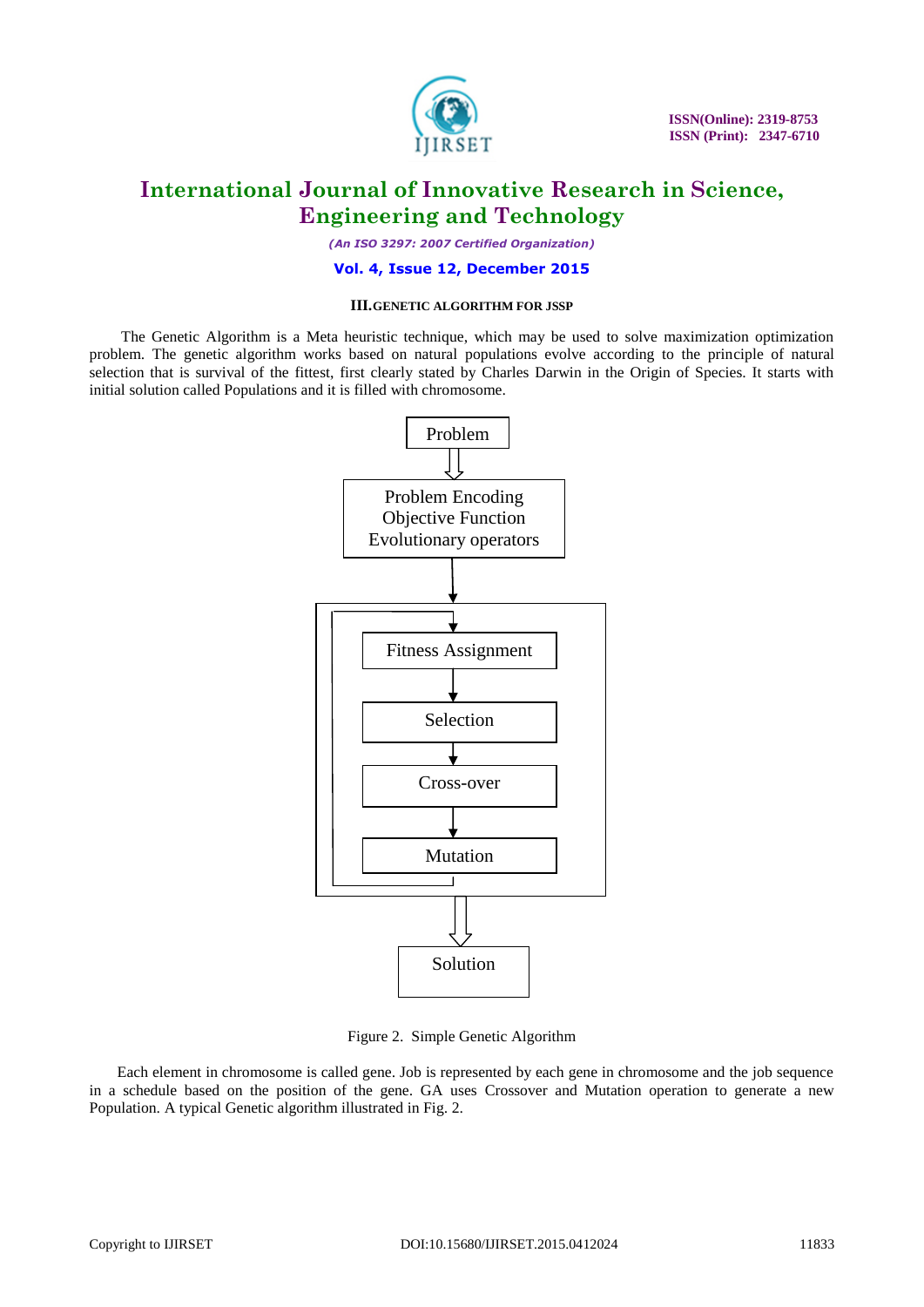

*(An ISO 3297: 2007 Certified Organization)*

#### **Vol. 4, Issue 12, December 2015**

#### **III.GENETIC ALGORITHM FOR JSSP**

The Genetic Algorithm is a Meta heuristic technique, which may be used to solve maximization optimization problem. The genetic algorithm works based on natural populations evolve according to the principle of natural selection that is survival of the fittest, first clearly stated by Charles Darwin in the Origin of Species. It starts with initial solution called Populations and it is filled with chromosome.



Figure 2. Simple Genetic Algorithm

Each element in chromosome is called gene. Job is represented by each gene in chromosome and the job sequence in a schedule based on the position of the gene. GA uses Crossover and Mutation operation to generate a new Population. A typical Genetic algorithm illustrated in Fig. 2.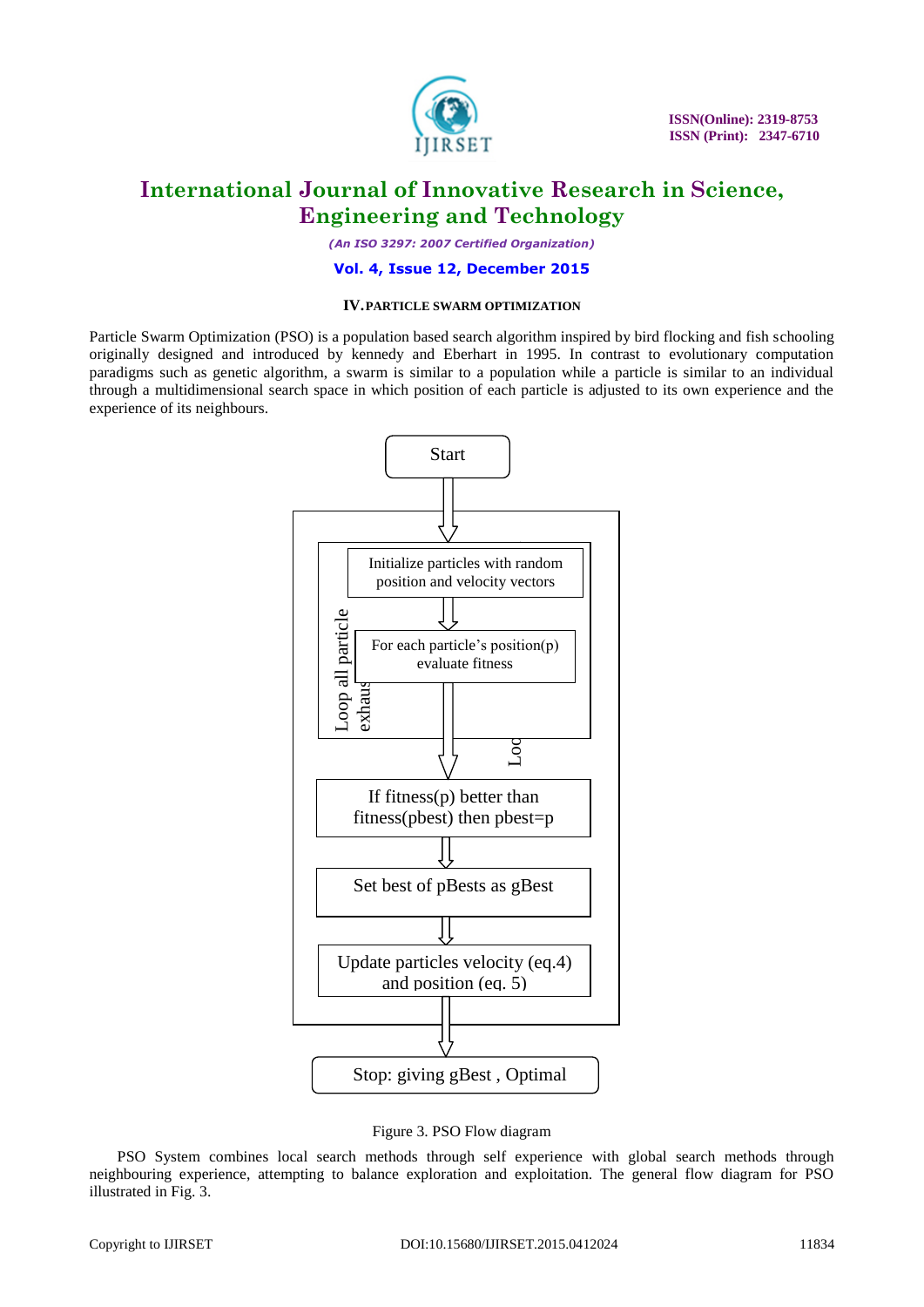

*(An ISO 3297: 2007 Certified Organization)*

#### **Vol. 4, Issue 12, December 2015**

#### **IV.PARTICLE SWARM OPTIMIZATION**

Particle Swarm Optimization (PSO) is a population based search algorithm inspired by bird flocking and fish schooling originally designed and introduced by kennedy and Eberhart in 1995. In contrast to evolutionary computation paradigms such as genetic algorithm, a swarm is similar to a population while a particle is similar to an individual through a multidimensional search space in which position of each particle is adjusted to its own experience and the experience of its neighbours.



Figure 3. PSO Flow diagram

PSO System combines local search methods through self experience with global search methods through neighbouring experience, attempting to balance exploration and exploitation. The general flow diagram for PSO illustrated in Fig. 3.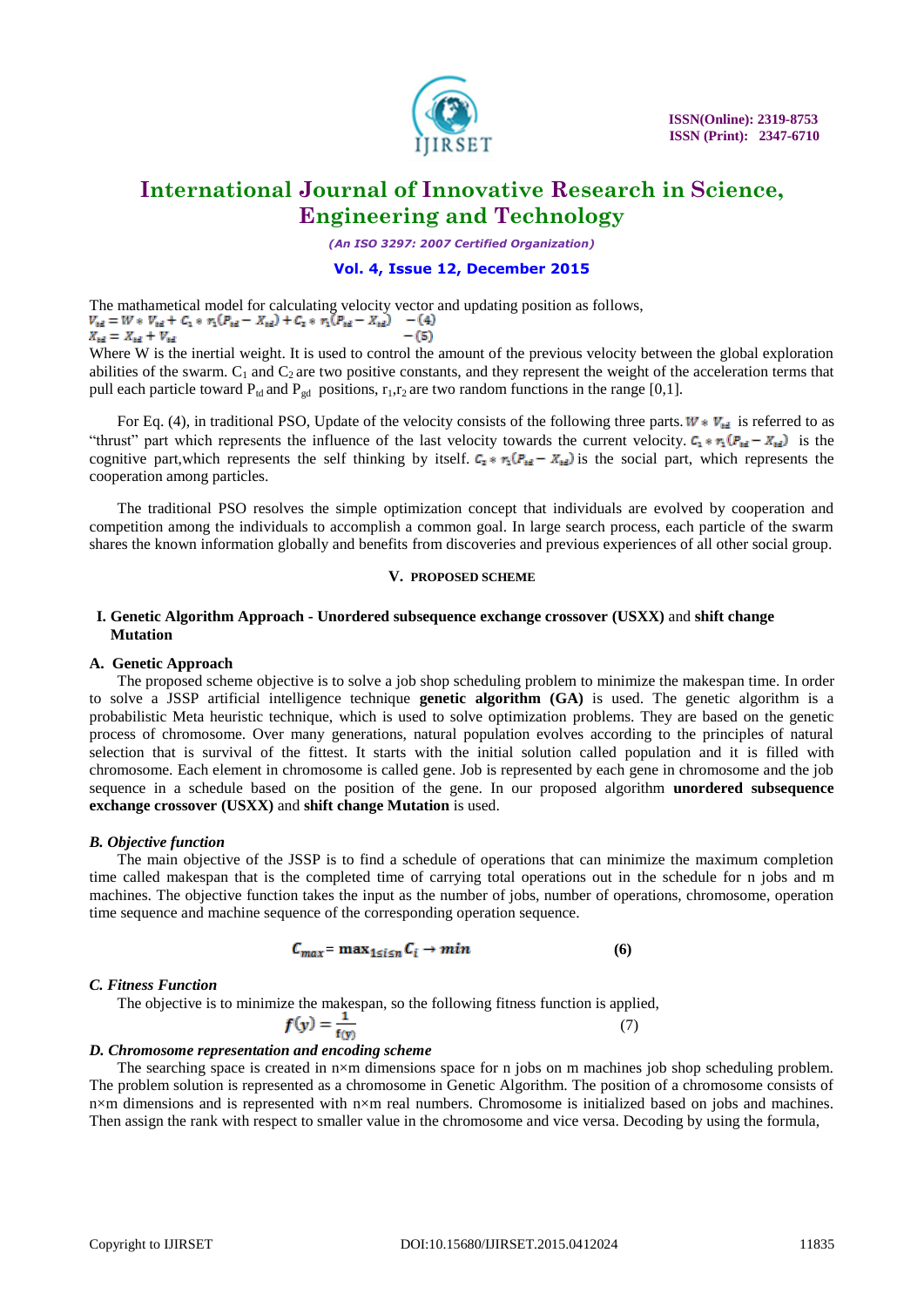

*(An ISO 3297: 2007 Certified Organization)*

#### **Vol. 4, Issue 12, December 2015**

The mathametical model for calculating velocity vector and updating position as follows,<br> $V_{td} = W * V_{td} + C_1 * r_1 (P_{td} - X_{td}) + C_2 * r_1 (P_{td} - X_{td})$  $X_{\rm td} = X_{\rm td} + V_{\rm td}$  $-(5)$ 

Where W is the inertial weight. It is used to control the amount of the previous velocity between the global exploration abilities of the swarm.  $C_1$  and  $C_2$  are two positive constants, and they represent the weight of the acceleration terms that pull each particle toward  $P_{td}$  and  $P_{gd}$  positions,  $r_1, r_2$  are two random functions in the range [0,1].

For Eq. (4), in traditional PSO, Update of the velocity consists of the following three parts.  $W * V_{rel}$  is referred to as "thrust" part which represents the influence of the last velocity towards the current velocity.  $C_1 * r_1 (P_{td} - X_{td})$  is the cognitive part, which represents the self thinking by itself.  $C_2 * r_1(P_{td} - X_{td})$  is the social part, which represents the cooperation among particles.

The traditional PSO resolves the simple optimization concept that individuals are evolved by cooperation and competition among the individuals to accomplish a common goal. In large search process, each particle of the swarm shares the known information globally and benefits from discoveries and previous experiences of all other social group.

#### **V. PROPOSED SCHEME**

#### **I. Genetic Algorithm Approach - Unordered subsequence exchange crossover (USXX)** and **shift change Mutation**

#### **A. Genetic Approach**

The proposed scheme objective is to solve a job shop scheduling problem to minimize the makespan time. In order to solve a JSSP artificial intelligence technique **genetic algorithm (GA)** is used. The genetic algorithm is a probabilistic Meta heuristic technique, which is used to solve optimization problems. They are based on the genetic process of chromosome. Over many generations, natural population evolves according to the principles of natural selection that is survival of the fittest. It starts with the initial solution called population and it is filled with chromosome. Each element in chromosome is called gene. Job is represented by each gene in chromosome and the job sequence in a schedule based on the position of the gene. In our proposed algorithm **unordered subsequence exchange crossover (USXX)** and **shift change Mutation** is used.

#### *B. Objective function*

The main objective of the JSSP is to find a schedule of operations that can minimize the maximum completion time called makespan that is the completed time of carrying total operations out in the schedule for n jobs and m machines. The objective function takes the input as the number of jobs, number of operations, chromosome, operation time sequence and machine sequence of the corresponding operation sequence.

$$
C_{max} = \max_{1 \le i \le n} C_i \to \min \tag{6}
$$

#### *C. Fitness Function*

The objective is to minimize the makespan, so the following fitness function is applied,

$$
f(y) = \frac{1}{f(y)}\tag{7}
$$

#### *D. Chromosome representation and encoding scheme*

The searching space is created in n×m dimensions space for n jobs on m machines job shop scheduling problem. The problem solution is represented as a chromosome in Genetic Algorithm. The position of a chromosome consists of n×m dimensions and is represented with n×m real numbers. Chromosome is initialized based on jobs and machines. Then assign the rank with respect to smaller value in the chromosome and vice versa. Decoding by using the formula,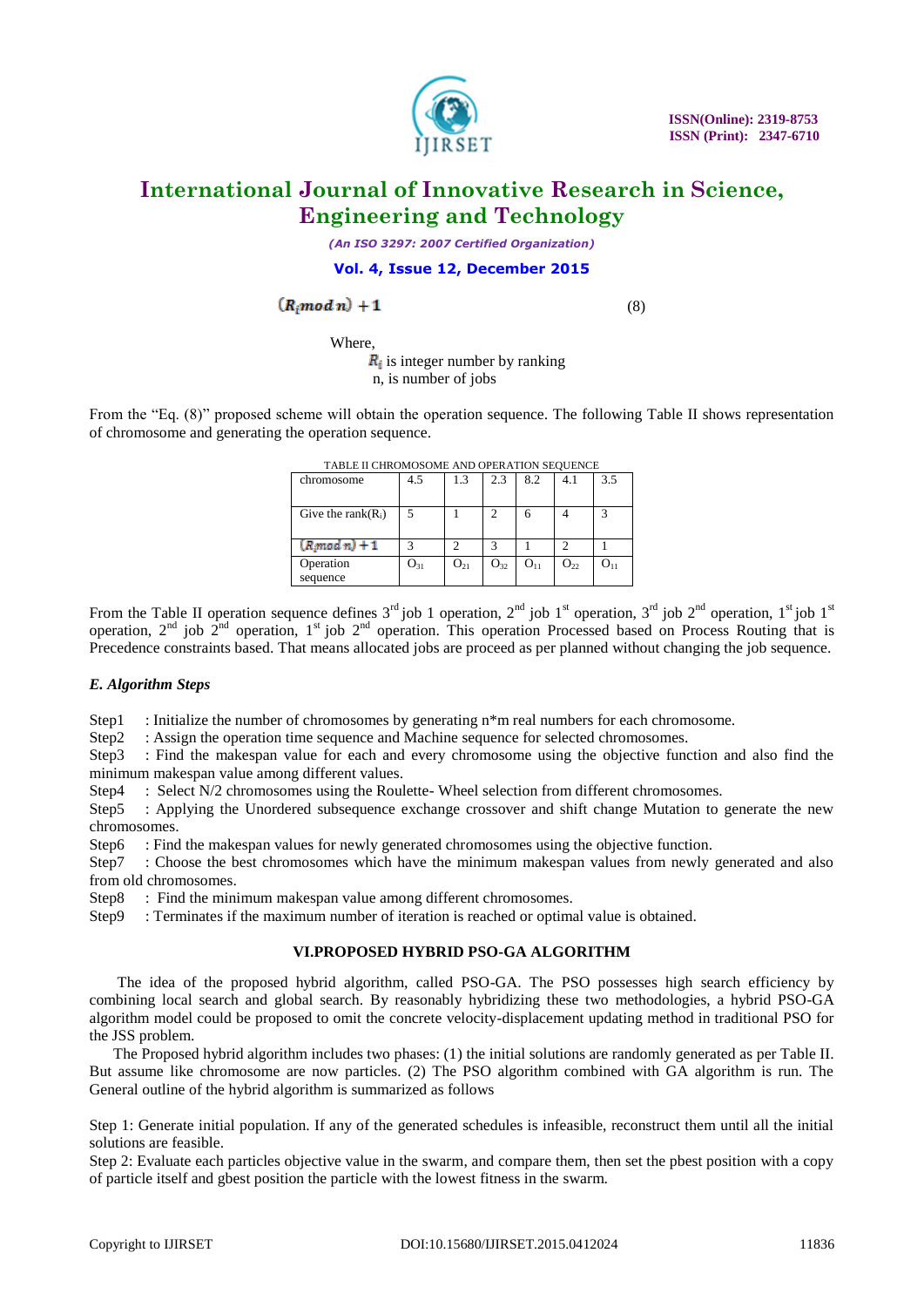

*(An ISO 3297: 2007 Certified Organization)*

#### **Vol. 4, Issue 12, December 2015**

$$
(R_i mod n) + 1
$$

(8)

Where,

 $\mathbf{R}_i$  is integer number by ranking n, is number of jobs

From the "Eq. (8)" proposed scheme will obtain the operation sequence. The following Table II shows representation of chromosome and generating the operation sequence.

| <b>TADLE II CHROMOSOME ARD OF ERATION SEQUENCE</b> |          |          |          |                 |          |          |  |
|----------------------------------------------------|----------|----------|----------|-----------------|----------|----------|--|
| chromosome                                         | 4.5      | 1.3      | 2.3      | 8.2             | 4.1      | 3.5      |  |
| Give the rank $(R_i)$                              |          |          |          | 6               |          |          |  |
| $(R \mod n) + 1$                                   |          |          |          |                 |          |          |  |
| Operation<br>sequence                              | $O_{31}$ | $O_{21}$ | $O_{32}$ | O <sub>11</sub> | $O_{22}$ | $O_{11}$ |  |

TABLE II CHROMOSOME AND OPERATION SEQUENCE

From the Table II operation sequence defines  $3^{rd}$  job 1 operation,  $2^{nd}$  job 1<sup>st</sup> operation,  $3^{rd}$  job  $2^{nd}$  operation,  $1^{st}$  job  $1^{st}$ operation,  $2^{nd}$  job  $2^{nd}$  operation,  $1^{st}$  job  $2^{nd}$  operation. This operation Processed based on Process Routing that is Precedence constraints based. That means allocated jobs are proceed as per planned without changing the job sequence.

#### *E. Algorithm Steps*

Step1 : Initialize the number of chromosomes by generating  $n*$ m real numbers for each chromosome.

Step2 : Assign the operation time sequence and Machine sequence for selected chromosomes.

Step3 : Find the makespan value for each and every chromosome using the objective function and also find the minimum makespan value among different values.

Step4 : Select N/2 chromosomes using the Roulette- Wheel selection from different chromosomes.

Step5 : Applying the Unordered subsequence exchange crossover and shift change Mutation to generate the new chromosomes.

Step6 : Find the makespan values for newly generated chromosomes using the objective function.

Step7 : Choose the best chromosomes which have the minimum makespan values from newly generated and also from old chromosomes.

Step8 : Find the minimum makespan value among different chromosomes.

Step9 : Terminates if the maximum number of iteration is reached or optimal value is obtained.

#### **VI.PROPOSED HYBRID PSO-GA ALGORITHM**

The idea of the proposed hybrid algorithm, called PSO-GA. The PSO possesses high search efficiency by combining local search and global search. By reasonably hybridizing these two methodologies, a hybrid PSO-GA algorithm model could be proposed to omit the concrete velocity-displacement updating method in traditional PSO for the JSS problem.

The Proposed hybrid algorithm includes two phases: (1) the initial solutions are randomly generated as per Table II. But assume like chromosome are now particles. (2) The PSO algorithm combined with GA algorithm is run. The General outline of the hybrid algorithm is summarized as follows

Step 1: Generate initial population. If any of the generated schedules is infeasible, reconstruct them until all the initial solutions are feasible.

Step 2: Evaluate each particles objective value in the swarm, and compare them, then set the pbest position with a copy of particle itself and gbest position the particle with the lowest fitness in the swarm.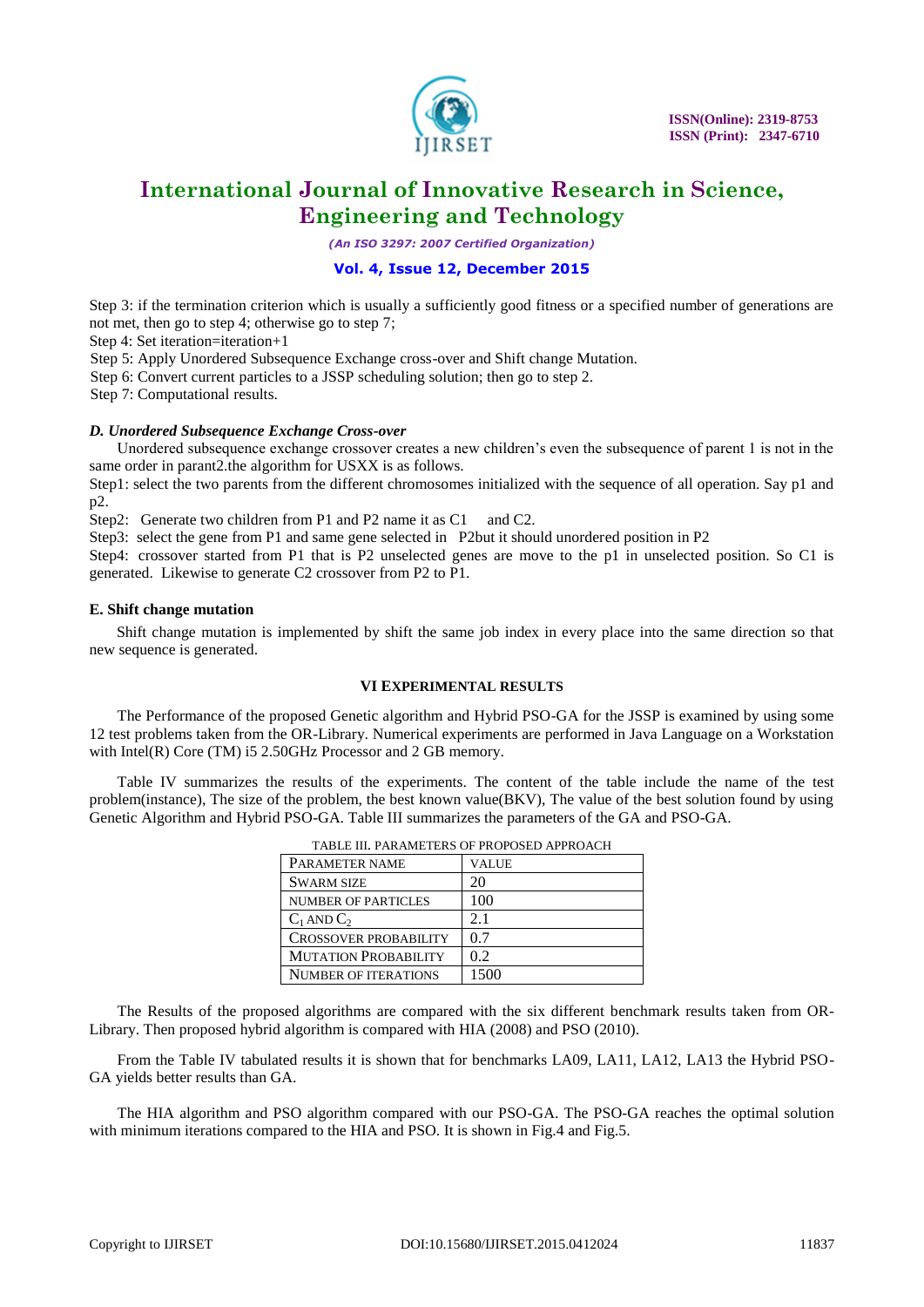

*(An ISO 3297: 2007 Certified Organization)*

#### **Vol. 4, Issue 12, December 2015**

Step 3: if the termination criterion which is usually a sufficiently good fitness or a specified number of generations are not met, then go to step 4; otherwise go to step 7;

Step 4: Set iteration=iteration+1

Step 5: Apply Unordered Subsequence Exchange cross-over and Shift change Mutation.

Step 6: Convert current particles to a JSSP scheduling solution; then go to step 2.

Step 7: Computational results.

#### *D. Unordered Subsequence Exchange Cross-over*

Unordered subsequence exchange crossover creates a new children's even the subsequence of parent 1 is not in the same order in parant2.the algorithm for USXX is as follows.

Step1: select the two parents from the different chromosomes initialized with the sequence of all operation. Say p1 and p2.

Step2: Generate two children from P1 and P2 name it as C1 and C2.

Step3: select the gene from P1 and same gene selected in P2but it should unordered position in P2

Step4: crossover started from P1 that is P2 unselected genes are move to the p1 in unselected position. So C1 is generated. Likewise to generate C2 crossover from P2 to P1.

#### **E. Shift change mutation**

 Shift change mutation is implemented by shift the same job index in every place into the same direction so that new sequence is generated.

#### **VI EXPERIMENTAL RESULTS**

The Performance of the proposed Genetic algorithm and Hybrid PSO-GA for the JSSP is examined by using some 12 test problems taken from the OR-Library. Numerical experiments are performed in Java Language on a Workstation with Intel(R) Core (TM) i5 2.50GHz Processor and 2 GB memory.

Table IV summarizes the results of the experiments. The content of the table include the name of the test problem(instance), The size of the problem, the best known value(BKV), The value of the best solution found by using Genetic Algorithm and Hybrid PSO-GA. Table III summarizes the parameters of the GA and PSO-GA.

| TABLE III. PARAMETERS OF PROPOSED APPROACH |       |  |  |  |
|--------------------------------------------|-------|--|--|--|
| PARAMETER NAME                             | VALUE |  |  |  |
| <b>SWARM SIZE</b>                          | 20    |  |  |  |
| <b>NUMBER OF PARTICLES</b>                 | 100   |  |  |  |
| $C_1$ AND $C_2$                            | 2.1   |  |  |  |
| <b>CROSSOVER PROBABILITY</b>               | 0.7   |  |  |  |
| <b>MUTATION PROBABILITY</b>                | 0.2   |  |  |  |
| <b>NUMBER OF ITERATIONS</b>                | 1500  |  |  |  |

TABLE III. PARAMETERS OF PROPOSED APPROACH

The Results of the proposed algorithms are compared with the six different benchmark results taken from OR-Library. Then proposed hybrid algorithm is compared with HIA (2008) and PSO (2010).

From the Table IV tabulated results it is shown that for benchmarks LA09, LA11, LA12, LA13 the Hybrid PSO-GA yields better results than GA.

The HIA algorithm and PSO algorithm compared with our PSO-GA. The PSO-GA reaches the optimal solution with minimum iterations compared to the HIA and PSO. It is shown in Fig.4 and Fig.5.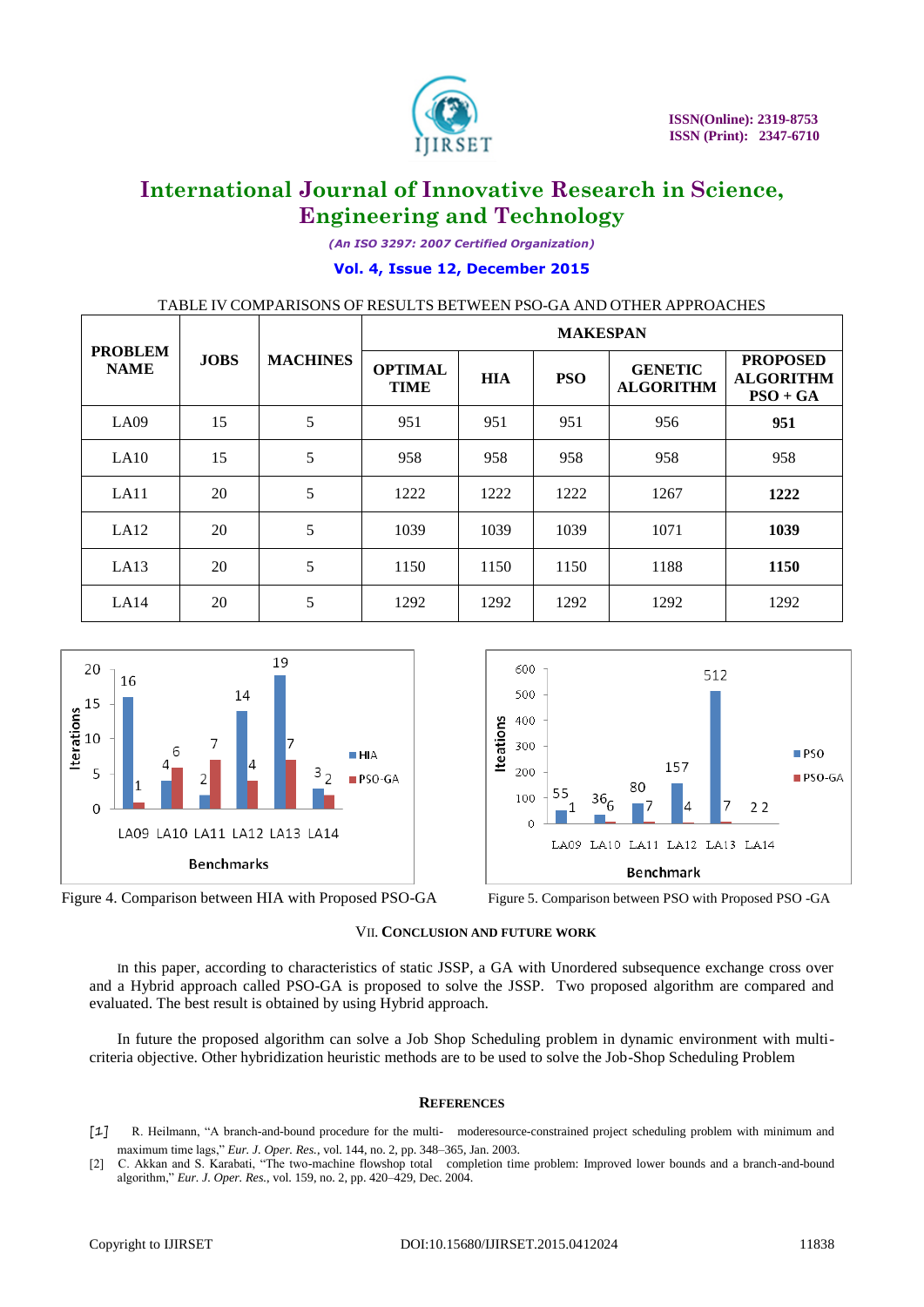

*(An ISO 3297: 2007 Certified Organization)*

#### **Vol. 4, Issue 12, December 2015**

TABLE IV COMPARISONS OF RESULTS BETWEEN PSO-GA AND OTHER APPROACHES

|                               |             |                 | <b>MAKESPAN</b>               |            |            |                                    |                                                   |
|-------------------------------|-------------|-----------------|-------------------------------|------------|------------|------------------------------------|---------------------------------------------------|
| <b>PROBLEM</b><br><b>NAME</b> | <b>JOBS</b> | <b>MACHINES</b> | <b>OPTIMAL</b><br><b>TIME</b> | <b>HIA</b> | <b>PSO</b> | <b>GENETIC</b><br><b>ALGORITHM</b> | <b>PROPOSED</b><br><b>ALGORITHM</b><br>$PSO + GA$ |
| LA09                          | 15          | 5               | 951                           | 951        | 951        | 956                                | 951                                               |
| LA10                          | 15          | 5               | 958                           | 958        | 958        | 958                                | 958                                               |
| LA11                          | 20          | 5               | 1222                          | 1222       | 1222       | 1267                               | 1222                                              |
| LA12                          | 20          | 5               | 1039                          | 1039       | 1039       | 1071                               | 1039                                              |
| LA13                          | 20          | 5               | 1150                          | 1150       | 1150       | 1188                               | 1150                                              |
| LA14                          | 20          | 5               | 1292                          | 1292       | 1292       | 1292                               | 1292                                              |





**Benchmark** 

LA09 LA10 LA11 LA12 LA13 LA14

80

 $366$ 

157

512

#### VII. **CONCLUSION AND FUTURE WORK**

600

500

400

200

100

 $\theta$ 

**Iteations** 300

In this paper, according to characteristics of static JSSP, a GA with Unordered subsequence exchange cross over and a Hybrid approach called PSO-GA is proposed to solve the JSSP. Two proposed algorithm are compared and evaluated. The best result is obtained by using Hybrid approach.

In future the proposed algorithm can solve a Job Shop Scheduling problem in dynamic environment with multicriteria objective. Other hybridization heuristic methods are to be used to solve the Job-Shop Scheduling Problem

#### **REFERENCES**

- [1] R. Heilmann, "A branch-and-bound procedure for the multi- moderesource-constrained project scheduling problem with minimum and maximum time lags," *Eur. J. Oper. Res.*, vol. 144, no. 2, pp. 348–365, Jan. 2003.
- [2] C. Akkan and S. Karabati, "The two-machine flowshop total completion time problem: Improved lower bounds and a branch-and-bound algorithm," *Eur. J. Oper. Res.*, vol. 159, no. 2, pp. 420-429, Dec. 2004.

 $PSO$ 

 $22$ 

 $PSO-GA$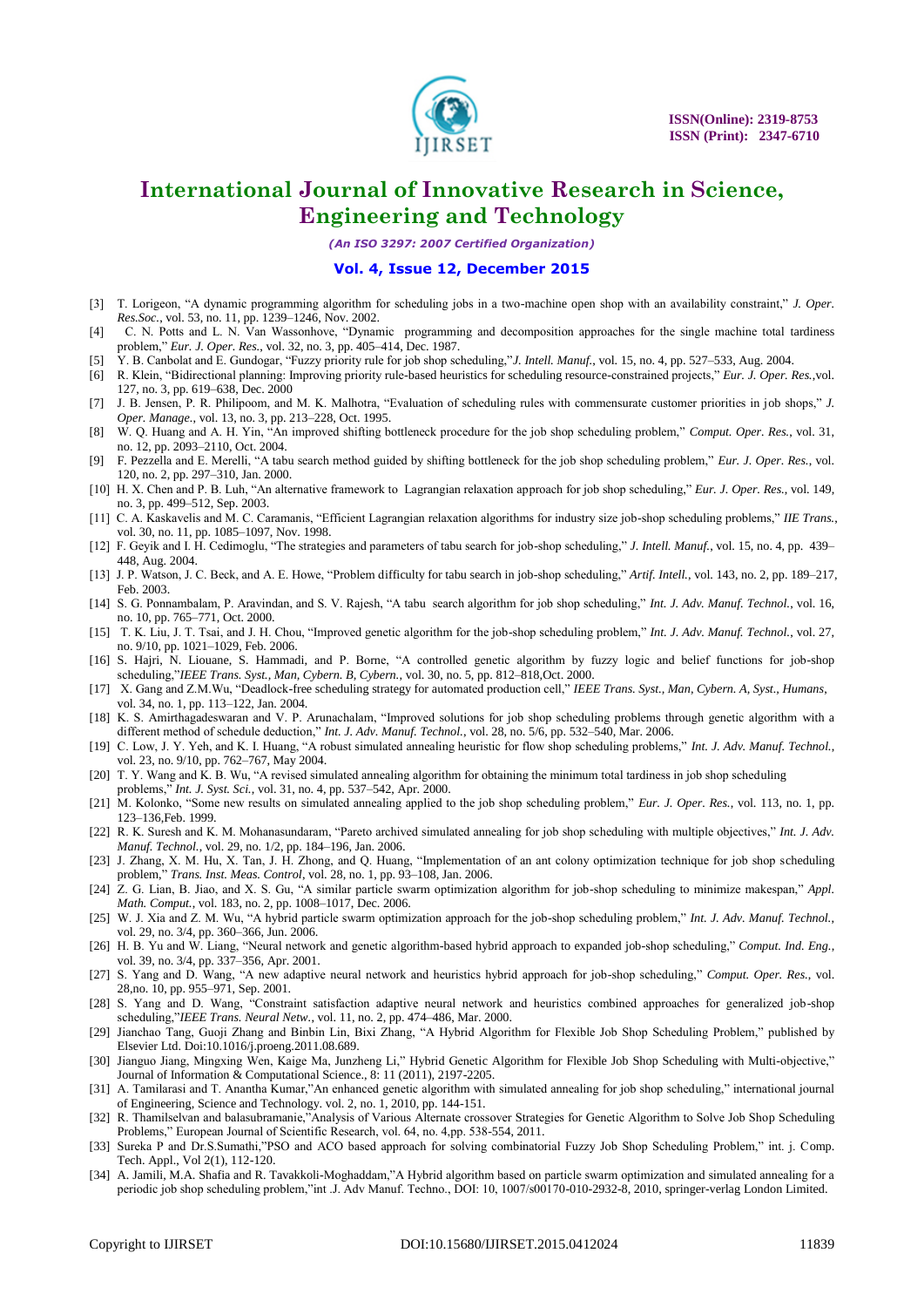

*(An ISO 3297: 2007 Certified Organization)*

#### **Vol. 4, Issue 12, December 2015**

- [3] T. Lorigeon, "A dynamic programming algorithm for scheduling jobs in a two-machine open shop with an availability constraint," *J. Oper. Res.Soc.*, vol. 53, no. 11, pp. 1239–1246, Nov. 2002.
- [4] C. N. Potts and L. N. Van Wassonhove, "Dynamic programming and decomposition approaches for the single machine total tardiness problem," *Eur. J. Oper. Res.*, vol. 32, no. 3, pp. 405-414, Dec. 1987.
- [5] Y. B. Canbolat and E. Gundogar, "Fuzzy priority rule for job shop scheduling,"*J. Intell. Manuf.*, vol. 15, no. 4, pp. 527–533, Aug. 2004.
- [6] R. Klein, "Bidirectional planning: Improving priority rule-based heuristics for scheduling resource-constrained projects," *Eur. J. Oper. Res.*,vol. 127, no. 3, pp. 619–638, Dec. 2000
- [7] J. B. Jensen, P. R. Philipoom, and M. K. Malhotra, "Evaluation of scheduling rules with commensurate customer priorities in job shops," *J. Oper. Manage.*, vol. 13, no. 3, pp. 213–228, Oct. 1995.
- [8] W. Q. Huang and A. H. Yin, "An improved shifting bottleneck procedure for the job shop scheduling problem," *Comput. Oper. Res.*, vol. 31, no. 12, pp. 2093–2110, Oct. 2004.
- [9] F. Pezzella and E. Merelli, "A tabu search method guided by shifting bottleneck for the job shop scheduling problem," *Eur. J. Oper. Res.*, vol. 120, no. 2, pp. 297–310, Jan. 2000.
- [10] H. X. Chen and P. B. Luh, "An alternative framework to Lagrangian relaxation approach for job shop scheduling," *Eur. J. Oper. Res.*, vol. 149, no. 3, pp. 499–512, Sep. 2003.
- [11] C. A. Kaskavelis and M. C. Caramanis, "Efficient Lagrangian relaxation algorithms for industry size job-shop scheduling problems," IIE Trans., vol. 30, no. 11, pp. 1085–1097, Nov. 1998.
- [12] F. Geyik and I. H. Cedimoglu, "The strategies and parameters of tabu search for job-shop scheduling," *J. Intell. Manuf.*, vol. 15, no. 4, pp. 439– 448, Aug. 2004.
- [13] J. P. Watson, J. C. Beck, and A. E. Howe, "Problem difficulty for tabu search in job-shop scheduling," *Artif. Intell.*, vol. 143, no. 2, pp. 189–217, Feb. 2003.
- [14] S. G. Ponnambalam, P. Aravindan, and S. V. Rajesh, "A tabu search algorithm for job shop scheduling," Int. J. Adv. Manuf. Technol., vol. 16, no. 10, pp. 765–771, Oct. 2000.
- [15] T. K. Liu, J. T. Tsai, and J. H. Chou, "Improved genetic algorithm for the job-shop scheduling problem," Int. J. Adv. Manuf. Technol., vol. 27, no. 9/10, pp. 1021–1029, Feb. 2006.
- [16] S. Hajri, N. Liouane, S. Hammadi, and P. Borne, "A controlled genetic algorithm by fuzzy logic and belief functions for job-shop scheduling,‖*IEEE Trans. Syst., Man, Cybern. B, Cybern.*, vol. 30, no. 5, pp. 812–818,Oct. 2000.
- [17] X. Gang and Z.M.Wu, "Deadlock-free scheduling strategy for automated production cell," IEEE Trans. Syst., Man, Cybern. A, Syst., Humans, vol. 34, no. 1, pp. 113–122, Jan. 2004.
- [18] K. S. Amirthagadeswaran and V. P. Arunachalam, "Improved solutions for job shop scheduling problems through genetic algorithm with a different method of schedule deduction," *Int. J. Adv. Manuf. Technol.*, vol. 28, no. 5/6, pp. 532–540, Mar. 2006.
- [19] C. Low, J. Y. Yeh, and K. I. Huang, "A robust simulated annealing heuristic for flow shop scheduling problems," Int. J. Adv. Manuf. Technol., vol. 23, no. 9/10, pp. 762–767, May 2004.
- [20] T. Y. Wang and K. B. Wu, "A revised simulated annealing algorithm for obtaining the minimum total tardiness in job shop scheduling problems," *Int. J. Syst. Sci.*, vol. 31, no. 4, pp. 537–542, Apr. 2000.
- [21] M. Kolonko, "Some new results on simulated annealing applied to the job shop scheduling problem," *Eur. J. Oper. Res.*, vol. 113, no. 1, pp. 123–136,Feb. 1999.
- [22] R. K. Suresh and K. M. Mohanasundaram, "Pareto archived simulated annealing for job shop scheduling with multiple objectives," *Int. J. Adv. Manuf. Technol.*, vol. 29, no. 1/2, pp. 184–196, Jan. 2006.
- [23] J. Zhang, X. M. Hu, X. Tan, J. H. Zhong, and Q. Huang, "Implementation of an ant colony optimization technique for job shop scheduling problem," *Trans. Inst. Meas. Control*, vol. 28, no. 1, pp. 93-108, Jan. 2006.
- [24] Z. G. Lian, B. Jiao, and X. S. Gu, "A similar particle swarm optimization algorithm for job-shop scheduling to minimize makespan," *Appl. Math. Comput.*, vol. 183, no. 2, pp. 1008–1017, Dec. 2006.
- [25] W. J. Xia and Z. M. Wu, "A hybrid particle swarm optimization approach for the job-shop scheduling problem," Int. J. Adv. Manuf. Technol., vol. 29, no. 3/4, pp. 360–366, Jun. 2006.
- [26] H. B. Yu and W. Liang, "Neural network and genetic algorithm-based hybrid approach to expanded job-shop scheduling," *Comput. Ind. Eng.*, vol. 39, no. 3/4, pp. 337–356, Apr. 2001.
- [27] S. Yang and D. Wang, "A new adaptive neural network and heuristics hybrid approach for job-shop scheduling," *Comput. Oper. Res.*, vol. 28,no. 10, pp. 955–971, Sep. 2001.
- [28] S. Yang and D. Wang, "Constraint satisfaction adaptive neural network and heuristics combined approaches for generalized job-shop scheduling,"*IEEE Trans. Neural Netw.*, vol. 11, no. 2, pp. 474-486, Mar. 2000.
- [29] Jianchao Tang, Guoji Zhang and Binbin Lin, Bixi Zhang, "A Hybrid Algorithm for Flexible Job Shop Scheduling Problem," published by Elsevier Ltd. Doi:10.1016/j.proeng.2011.08.689.
- [30] Jianguo Jiang, Mingxing Wen, Kaige Ma, Junzheng Li," Hybrid Genetic Algorithm for Flexible Job Shop Scheduling with Multi-objective," Journal of Information & Computational Science., 8: 11 (2011), 2197-2205.
- [31] A. Tamilarasi and T. Anantha Kumar,"An enhanced genetic algorithm with simulated annealing for job shop scheduling," international journal of Engineering, Science and Technology. vol. 2, no. 1, 2010, pp. 144-151.
- [32] R. Thamilselvan and balasubramanie,"Analysis of Various Alternate crossover Strategies for Genetic Algorithm to Solve Job Shop Scheduling Problems," European Journal of Scientific Research, vol. 64, no. 4,pp. 538-554, 2011.
- [33] Sureka P and Dr.S.Sumathi,"PSO and ACO based approach for solving combinatorial Fuzzy Job Shop Scheduling Problem," int. j. Comp. Tech. Appl., Vol 2(1), 112-120.
- [34] A. Jamili, M.A. Shafia and R. Tavakkoli-Moghaddam,"A Hybrid algorithm based on particle swarm optimization and simulated annealing for a periodic job shop scheduling problem,"int .J. Adv Manuf. Techno., DOI: 10, 1007/s00170-010-2932-8, 2010, springer-verlag London Limited.